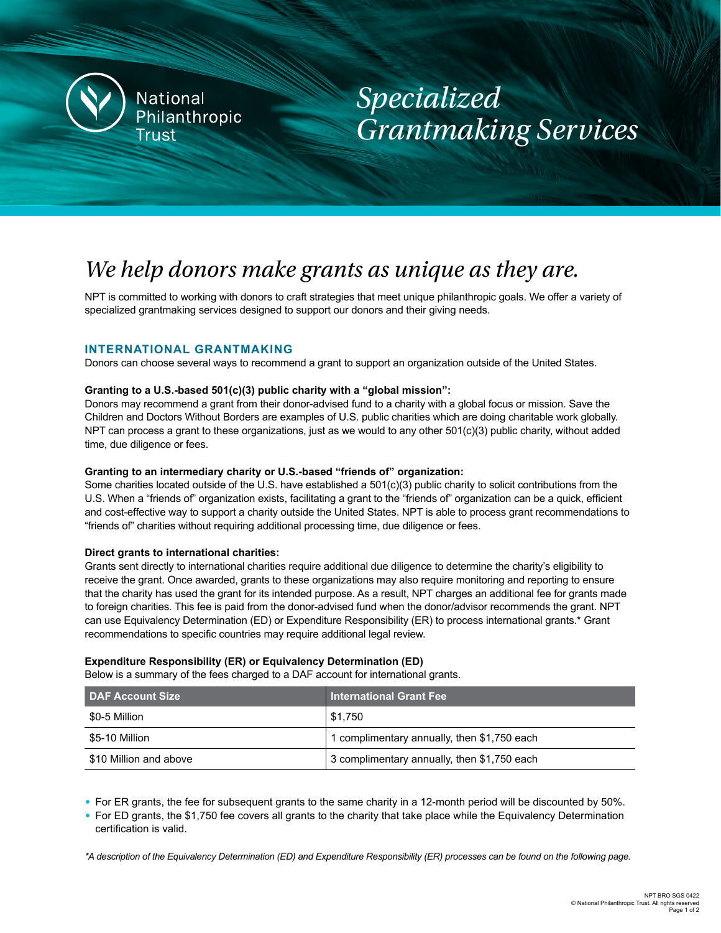

*Specialized Grantmaking Services*

# *We help donors make grants as unique as they are.*

NPT is committed to working with donors to craft strategies that meet unique philanthropic goals. We offer a variety of specialized grantmaking services designed to support our donors and their giving needs.

## **INTERNATIONAL GRANTMAKING**

Donors can choose several ways to recommend a grant to support an organization outside of the United States.

## **Granting to a U.S.-based 501(c)(3) public charity with a "global mission":**

Donors may recommend a grant from their donor-advised fund to a charity with a global focus or mission. Save the Children and Doctors Without Borders are examples of U.S. public charities which are doing charitable work globally. NPT can process a grant to these organizations, just as we would to any other 501(c)(3) public charity, without added time, due diligence or fees.

### **Granting to an intermediary charity or U.S.-based "friends of" organization:**

Some charities located outside of the U.S. have established a 501(c)(3) public charity to solicit contributions from the U.S. When a "friends of" organization exists, facilitating a grant to the "friends of" organization can be a quick, efficient and cost-effective way to support a charity outside the United States. NPT is able to process grant recommendations to "friends of" charities without requiring additional processing time, due diligence or fees.

#### **Direct grants to international charities:**

Grants sent directly to international charities require additional due diligence to determine the charity's eligibility to receive the grant. Once awarded, grants to these organizations may also require monitoring and reporting to ensure that the charity has used the grant for its intended purpose. As a result, NPT charges an additional fee for grants made to foreign charities. This fee is paid from the donor-advised fund when the donor/advisor recommends the grant. NPT can use Equivalency Determination (ED) or Expenditure Responsibility (ER) to process international grants.\* Grant recommendations to specific countries may require additional legal review.

## **Expenditure Responsibility (ER) or Equivalency Determination (ED)**

Below is a summary of the fees charged to a DAF account for international grants.

| DAF Account Size       | <b>International Grant Fee</b>              |
|------------------------|---------------------------------------------|
| \$0-5 Million          | \$1.750                                     |
| \$5-10 Million         | 1 complimentary annually, then \$1,750 each |
| \$10 Million and above | 3 complimentary annually, then \$1,750 each |

• For ER grants, the fee for subsequent grants to the same charity in a 12-month period will be discounted by 50%.

• For ED grants, the \$1,750 fee covers all grants to the charity that take place while the Equivalency Determination certification is valid.

*\*A description of the Equivalency Determination (ED) and Expenditure Responsibility (ER) processes can be found on the following page.*